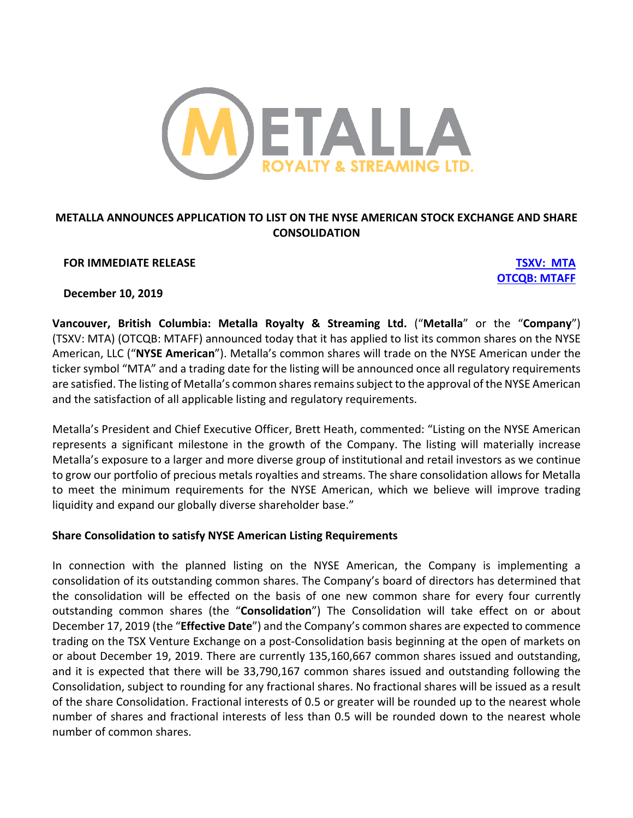

# **METALLA ANNOUNCES APPLICATION TO LIST ON THE NYSE AMERICAN STOCK EXCHANGE AND SHARE CONSOLIDATION**

### **FOR IMMEDIATE RELEASE TSXV: MTA**

**OTCQB: MTAFF**

**December 10, 2019**

**Vancouver, British Columbia: Metalla Royalty & Streaming Ltd.** ("**Metalla**" or the "**Company**") (TSXV: MTA) (OTCQB: MTAFF) announced today that it has applied to list its common shares on the NYSE American, LLC ("**NYSE American**"). Metalla's common shares will trade on the NYSE American under the ticker symbol "MTA" and a trading date for the listing will be announced once all regulatory requirements are satisfied. The listing of Metalla's common shares remains subject to the approval of the NYSE American and the satisfaction of all applicable listing and regulatory requirements.

Metalla's President and Chief Executive Officer, Brett Heath, commented: "Listing on the NYSE American represents a significant milestone in the growth of the Company. The listing will materially increase Metalla's exposure to a larger and more diverse group of institutional and retail investors as we continue to grow our portfolio of precious metals royalties and streams. The share consolidation allows for Metalla to meet the minimum requirements for the NYSE American, which we believe will improve trading liquidity and expand our globally diverse shareholder base."

## **Share Consolidation to satisfy NYSE American Listing Requirements**

In connection with the planned listing on the NYSE American, the Company is implementing a consolidation of its outstanding common shares. The Company's board of directors has determined that the consolidation will be effected on the basis of one new common share for every four currently outstanding common shares (the "**Consolidation**") The Consolidation will take effect on or about December 17, 2019 (the "**Effective Date**") and the Company's common shares are expected to commence trading on the TSX Venture Exchange on a post-Consolidation basis beginning at the open of markets on or about December 19, 2019. There are currently 135,160,667 common shares issued and outstanding, and it is expected that there will be 33,790,167 common shares issued and outstanding following the Consolidation, subject to rounding for any fractional shares. No fractional shares will be issued as a result of the share Consolidation. Fractional interests of 0.5 or greater will be rounded up to the nearest whole number of shares and fractional interests of less than 0.5 will be rounded down to the nearest whole number of common shares.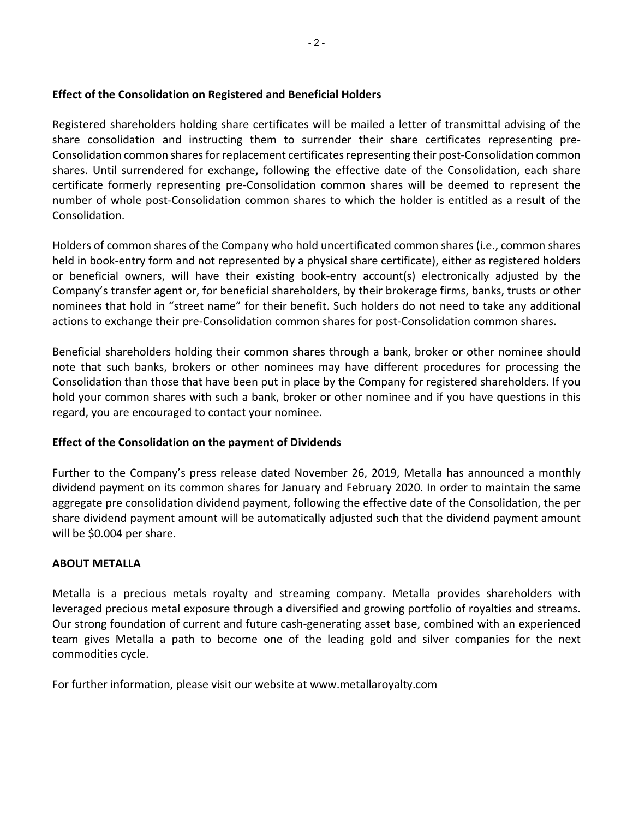## **Effect of the Consolidation on Registered and Beneficial Holders**

Registered shareholders holding share certificates will be mailed a letter of transmittal advising of the share consolidation and instructing them to surrender their share certificates representing pre-Consolidation common shares for replacement certificates representing their post-Consolidation common shares. Until surrendered for exchange, following the effective date of the Consolidation, each share certificate formerly representing pre-Consolidation common shares will be deemed to represent the number of whole post-Consolidation common shares to which the holder is entitled as a result of the Consolidation.

Holders of common shares of the Company who hold uncertificated common shares (i.e., common shares held in book-entry form and not represented by a physical share certificate), either as registered holders or beneficial owners, will have their existing book-entry account(s) electronically adjusted by the Company's transfer agent or, for beneficial shareholders, by their brokerage firms, banks, trusts or other nominees that hold in "street name" for their benefit. Such holders do not need to take any additional actions to exchange their pre-Consolidation common shares for post-Consolidation common shares.

Beneficial shareholders holding their common shares through a bank, broker or other nominee should note that such banks, brokers or other nominees may have different procedures for processing the Consolidation than those that have been put in place by the Company for registered shareholders. If you hold your common shares with such a bank, broker or other nominee and if you have questions in this regard, you are encouraged to contact your nominee.

# **Effect of the Consolidation on the payment of Dividends**

Further to the Company's press release dated November 26, 2019, Metalla has announced a monthly dividend payment on its common shares for January and February 2020. In order to maintain the same aggregate pre consolidation dividend payment, following the effective date of the Consolidation, the per share dividend payment amount will be automatically adjusted such that the dividend payment amount will be \$0.004 per share.

## **ABOUT METALLA**

Metalla is a precious metals royalty and streaming company. Metalla provides shareholders with leveraged precious metal exposure through a diversified and growing portfolio of royalties and streams. Our strong foundation of current and future cash-generating asset base, combined with an experienced team gives Metalla a path to become one of the leading gold and silver companies for the next commodities cycle.

For further information, please visit our website at www.metallaroyalty.com